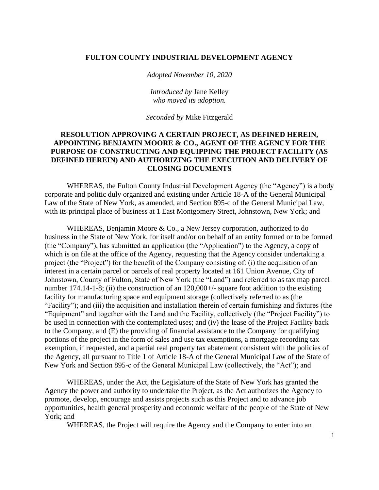## **FULTON COUNTY INDUSTRIAL DEVELOPMENT AGENCY**

*Adopted November 10, 2020*

*Introduced by* Jane Kelley *who moved its adoption.*

*Seconded by* Mike Fitzgerald

## **RESOLUTION APPROVING A CERTAIN PROJECT, AS DEFINED HEREIN, APPOINTING BENJAMIN MOORE & CO., AGENT OF THE AGENCY FOR THE PURPOSE OF CONSTRUCTING AND EQUIPPING THE PROJECT FACILITY (AS DEFINED HEREIN) AND AUTHORIZING THE EXECUTION AND DELIVERY OF CLOSING DOCUMENTS**

WHEREAS, the Fulton County Industrial Development Agency (the "Agency") is a body corporate and politic duly organized and existing under Article 18-A of the General Municipal Law of the State of New York, as amended, and Section 895-c of the General Municipal Law, with its principal place of business at 1 East Montgomery Street, Johnstown, New York; and

WHEREAS, Benjamin Moore & Co., a New Jersey corporation, authorized to do business in the State of New York, for itself and/or on behalf of an entity formed or to be formed (the "Company"), has submitted an application (the "Application") to the Agency, a copy of which is on file at the office of the Agency, requesting that the Agency consider undertaking a project (the "Project") for the benefit of the Company consisting of: (i) the acquisition of an interest in a certain parcel or parcels of real property located at 161 Union Avenue, City of Johnstown, County of Fulton, State of New York (the "Land") and referred to as tax map parcel number 174.14-1-8; (ii) the construction of an 120,000+/- square foot addition to the existing facility for manufacturing space and equipment storage (collectively referred to as (the "Facility"); and (iii) the acquisition and installation therein of certain furnishing and fixtures (the "Equipment" and together with the Land and the Facility, collectively (the "Project Facility") to be used in connection with the contemplated uses; and (iv) the lease of the Project Facility back to the Company, and (E) the providing of financial assistance to the Company for qualifying portions of the project in the form of sales and use tax exemptions, a mortgage recording tax exemption, if requested, and a partial real property tax abatement consistent with the policies of the Agency, all pursuant to Title 1 of Article 18-A of the General Municipal Law of the State of New York and Section 895-c of the General Municipal Law (collectively, the "Act"); and

WHEREAS, under the Act, the Legislature of the State of New York has granted the Agency the power and authority to undertake the Project, as the Act authorizes the Agency to promote, develop, encourage and assists projects such as this Project and to advance job opportunities, health general prosperity and economic welfare of the people of the State of New York; and

WHEREAS, the Project will require the Agency and the Company to enter into an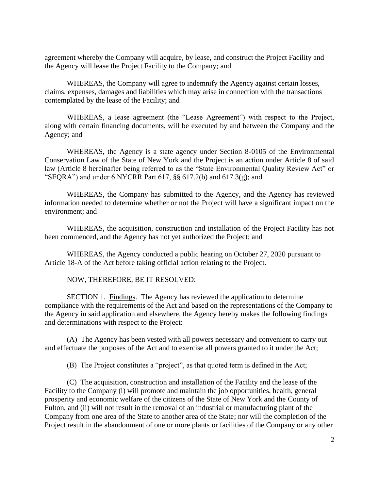agreement whereby the Company will acquire, by lease, and construct the Project Facility and the Agency will lease the Project Facility to the Company; and

WHEREAS, the Company will agree to indemnify the Agency against certain losses, claims, expenses, damages and liabilities which may arise in connection with the transactions contemplated by the lease of the Facility; and

WHEREAS, a lease agreement (the "Lease Agreement") with respect to the Project, along with certain financing documents, will be executed by and between the Company and the Agency; and

WHEREAS, the Agency is a state agency under Section 8-0105 of the Environmental Conservation Law of the State of New York and the Project is an action under Article 8 of said law (Article 8 hereinafter being referred to as the "State Environmental Quality Review Act" or "SEQRA") and under 6 NYCRR Part 617,  $\S$ § 617.2(b) and 617.3(g); and

WHEREAS, the Company has submitted to the Agency, and the Agency has reviewed information needed to determine whether or not the Project will have a significant impact on the environment; and

WHEREAS, the acquisition, construction and installation of the Project Facility has not been commenced, and the Agency has not yet authorized the Project; and

WHEREAS, the Agency conducted a public hearing on October 27, 2020 pursuant to Article 18-A of the Act before taking official action relating to the Project.

## NOW, THEREFORE, BE IT RESOLVED:

SECTION 1. Findings. The Agency has reviewed the application to determine compliance with the requirements of the Act and based on the representations of the Company to the Agency in said application and elsewhere, the Agency hereby makes the following findings and determinations with respect to the Project:

(A) The Agency has been vested with all powers necessary and convenient to carry out and effectuate the purposes of the Act and to exercise all powers granted to it under the Act;

(B) The Project constitutes a "project", as that quoted term is defined in the Act;

(C) The acquisition, construction and installation of the Facility and the lease of the Facility to the Company (i) will promote and maintain the job opportunities, health, general prosperity and economic welfare of the citizens of the State of New York and the County of Fulton, and (ii) will not result in the removal of an industrial or manufacturing plant of the Company from one area of the State to another area of the State; nor will the completion of the Project result in the abandonment of one or more plants or facilities of the Company or any other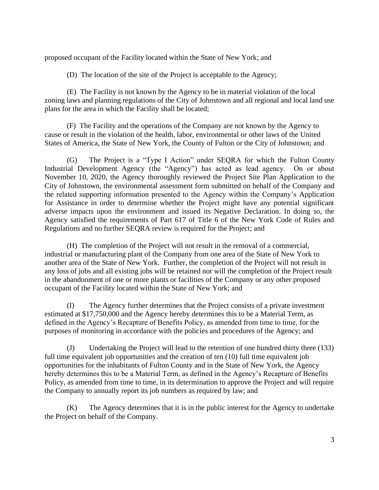proposed occupant of the Facility located within the State of New York; and

(D) The location of the site of the Project is acceptable to the Agency;

(E) The Facility is not known by the Agency to be in material violation of the local zoning laws and planning regulations of the City of Johnstown and all regional and local land use plans for the area in which the Facility shall be located;

(F) The Facility and the operations of the Company are not known by the Agency to cause or result in the violation of the health, labor, environmental or other laws of the United States of America, the State of New York, the County of Fulton or the City of Johnstown; and

(G) The Project is a "Type I Action" under SEQRA for which the Fulton County Industrial Development Agency (the "Agency") has acted as lead agency. On or about November 10, 2020, the Agency thoroughly reviewed the Project Site Plan Application to the City of Johnstown, the environmental assessment form submitted on behalf of the Company and the related supporting information presented to the Agency within the Company's Application for Assistance in order to determine whether the Project might have any potential significant adverse impacts upon the environment and issued its Negative Declaration. In doing so, the Agency satisfied the requirements of Part 617 of Title 6 of the New York Code of Rules and Regulations and no further SEQRA review is required for the Project; and

(H) The completion of the Project will not result in the removal of a commercial, industrial or manufacturing plant of the Company from one area of the State of New York to another area of the State of New York. Further, the completion of the Project will not result in any loss of jobs and all existing jobs will be retained nor will the completion of the Project result in the abandonment of one or more plants or facilities of the Company or any other proposed occupant of the Facility located within the State of New York; and

(I) The Agency further determines that the Project consists of a private investment estimated at \$17,750,000 and the Agency hereby determines this to be a Material Term, as defined in the Agency's Recapture of Benefits Policy, as amended from time to time, for the purposes of monitoring in accordance with the policies and procedures of the Agency; and

(J) Undertaking the Project will lead to the retention of one hundred thirty three (133) full time equivalent job opportunities and the creation of ten (10) full time equivalent job opportunities for the inhabitants of Fulton County and in the State of New York, the Agency hereby determines this to be a Material Term, as defined in the Agency's Recapture of Benefits Policy, as amended from time to time, in its determination to approve the Project and will require the Company to annually report its job numbers as required by law; and

(K) The Agency determines that it is in the public interest for the Agency to undertake the Project on behalf of the Company.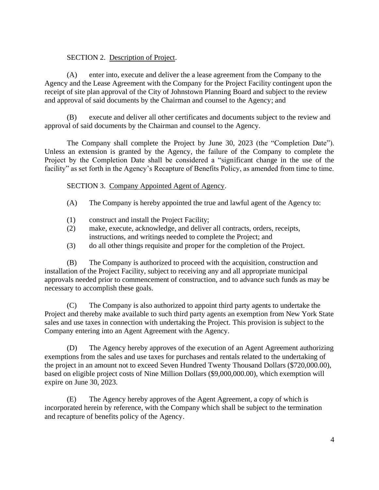## SECTION 2. Description of Project.

(A) enter into, execute and deliver the a lease agreement from the Company to the Agency and the Lease Agreement with the Company for the Project Facility contingent upon the receipt of site plan approval of the City of Johnstown Planning Board and subject to the review and approval of said documents by the Chairman and counsel to the Agency; and

(B) execute and deliver all other certificates and documents subject to the review and approval of said documents by the Chairman and counsel to the Agency.

The Company shall complete the Project by June 30, 2023 (the "Completion Date"). Unless an extension is granted by the Agency, the failure of the Company to complete the Project by the Completion Date shall be considered a "significant change in the use of the facility" as set forth in the Agency's Recapture of Benefits Policy, as amended from time to time.

SECTION 3. Company Appointed Agent of Agency.

- (A) The Company is hereby appointed the true and lawful agent of the Agency to:
- (1) construct and install the Project Facility;
- (2) make, execute, acknowledge, and deliver all contracts, orders, receipts, instructions, and writings needed to complete the Project; and
- (3) do all other things requisite and proper for the completion of the Project.

(B) The Company is authorized to proceed with the acquisition, construction and installation of the Project Facility, subject to receiving any and all appropriate municipal approvals needed prior to commencement of construction, and to advance such funds as may be necessary to accomplish these goals.

(C) The Company is also authorized to appoint third party agents to undertake the Project and thereby make available to such third party agents an exemption from New York State sales and use taxes in connection with undertaking the Project. This provision is subject to the Company entering into an Agent Agreement with the Agency.

(D) The Agency hereby approves of the execution of an Agent Agreement authorizing exemptions from the sales and use taxes for purchases and rentals related to the undertaking of the project in an amount not to exceed Seven Hundred Twenty Thousand Dollars (\$720,000.00), based on eligible project costs of Nine Million Dollars (\$9,000,000.00), which exemption will expire on June 30, 2023.

(E) The Agency hereby approves of the Agent Agreement, a copy of which is incorporated herein by reference, with the Company which shall be subject to the termination and recapture of benefits policy of the Agency.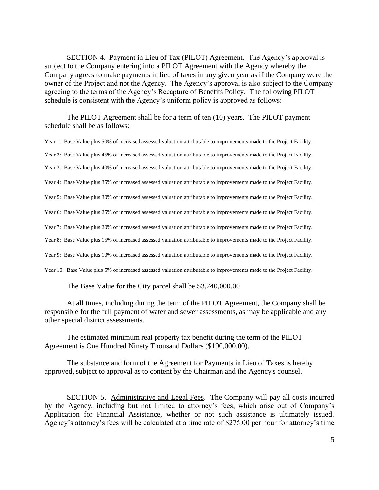SECTION 4. Payment in Lieu of Tax (PILOT) Agreement. The Agency's approval is subject to the Company entering into a PILOT Agreement with the Agency whereby the Company agrees to make payments in lieu of taxes in any given year as if the Company were the owner of the Project and not the Agency. The Agency's approval is also subject to the Company agreeing to the terms of the Agency's Recapture of Benefits Policy. The following PILOT schedule is consistent with the Agency's uniform policy is approved as follows:

The PILOT Agreement shall be for a term of ten (10) years. The PILOT payment schedule shall be as follows:

Year 1: Base Value plus 50% of increased assessed valuation attributable to improvements made to the Project Facility.

Year 2: Base Value plus 45% of increased assessed valuation attributable to improvements made to the Project Facility.

Year 3: Base Value plus 40% of increased assessed valuation attributable to improvements made to the Project Facility.

Year 4: Base Value plus 35% of increased assessed valuation attributable to improvements made to the Project Facility.

Year 5: Base Value plus 30% of increased assessed valuation attributable to improvements made to the Project Facility.

Year 6: Base Value plus 25% of increased assessed valuation attributable to improvements made to the Project Facility.

Year 7: Base Value plus 20% of increased assessed valuation attributable to improvements made to the Project Facility.

Year 8: Base Value plus 15% of increased assessed valuation attributable to improvements made to the Project Facility.

Year 9: Base Value plus 10% of increased assessed valuation attributable to improvements made to the Project Facility.

Year 10: Base Value plus 5% of increased assessed valuation attributable to improvements made to the Project Facility.

The Base Value for the City parcel shall be \$3,740,000.00

At all times, including during the term of the PILOT Agreement, the Company shall be responsible for the full payment of water and sewer assessments, as may be applicable and any other special district assessments.

The estimated minimum real property tax benefit during the term of the PILOT Agreement is One Hundred Ninety Thousand Dollars (\$190,000.00).

The substance and form of the Agreement for Payments in Lieu of Taxes is hereby approved, subject to approval as to content by the Chairman and the Agency's counsel.

SECTION 5. Administrative and Legal Fees. The Company will pay all costs incurred by the Agency, including but not limited to attorney's fees, which arise out of Company's Application for Financial Assistance, whether or not such assistance is ultimately issued. Agency's attorney's fees will be calculated at a time rate of \$275.00 per hour for attorney's time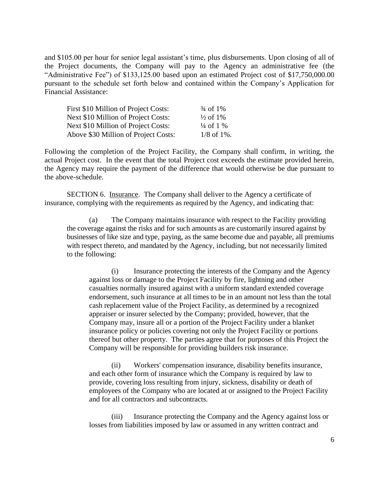and \$105.00 per hour for senior legal assistant's time, plus disbursements. Upon closing of all of the Project documents, the Company will pay to the Agency an administrative fee (the "Administrative Fee") of \$133,125.00 based upon an estimated Project cost of \$17,750,000.00 pursuant to the schedule set forth below and contained within the Company's Application for Financial Assistance:

| First \$10 Million of Project Costs: | $\frac{3}{4}$ of 1%  |
|--------------------------------------|----------------------|
| Next \$10 Million of Project Costs:  | $\frac{1}{2}$ of 1%  |
| Next \$10 Million of Project Costs:  | $\frac{1}{4}$ of 1 % |
| Above \$30 Million of Project Costs: | $1/8$ of $1\%$ .     |

Following the completion of the Project Facility, the Company shall confirm, in writing, the actual Project cost. In the event that the total Project cost exceeds the estimate provided herein, the Agency may require the payment of the difference that would otherwise be due pursuant to the above-schedule.

SECTION 6. Insurance. The Company shall deliver to the Agency a certificate of insurance, complying with the requirements as required by the Agency, and indicating that:

(a) The Company maintains insurance with respect to the Facility providing the coverage against the risks and for such amounts as are customarily insured against by businesses of like size and type, paying, as the same become due and payable, all premiums with respect thereto, and mandated by the Agency, including, but not necessarily limited to the following:

(i) Insurance protecting the interests of the Company and the Agency against loss or damage to the Project Facility by fire, lightning and other casualties normally insured against with a uniform standard extended coverage endorsement, such insurance at all times to be in an amount not less than the total cash replacement value of the Project Facility, as determined by a recognized appraiser or insurer selected by the Company; provided, however, that the Company may, insure all or a portion of the Project Facility under a blanket insurance policy or policies covering not only the Project Facility or portions thereof but other property. The parties agree that for purposes of this Project the Company will be responsible for providing builders risk insurance.

(ii) Workers' compensation insurance, disability benefits insurance, and each other form of insurance which the Company is required by law to provide, covering loss resulting from injury, sickness, disability or death of employees of the Company who are located at or assigned to the Project Facility and for all contractors and subcontracts.

(iii) Insurance protecting the Company and the Agency against loss or losses from liabilities imposed by law or assumed in any written contract and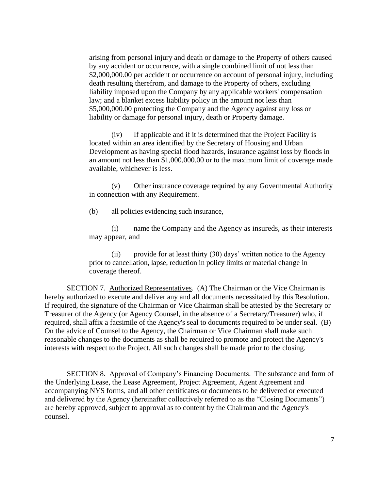arising from personal injury and death or damage to the Property of others caused by any accident or occurrence, with a single combined limit of not less than \$2,000,000.00 per accident or occurrence on account of personal injury, including death resulting therefrom, and damage to the Property of others, excluding liability imposed upon the Company by any applicable workers' compensation law; and a blanket excess liability policy in the amount not less than \$5,000,000.00 protecting the Company and the Agency against any loss or liability or damage for personal injury, death or Property damage.

(iv) If applicable and if it is determined that the Project Facility is located within an area identified by the Secretary of Housing and Urban Development as having special flood hazards, insurance against loss by floods in an amount not less than \$1,000,000.00 or to the maximum limit of coverage made available, whichever is less.

(v) Other insurance coverage required by any Governmental Authority in connection with any Requirement.

(b) all policies evidencing such insurance,

(i) name the Company and the Agency as insureds, as their interests may appear, and

(ii) provide for at least thirty (30) days' written notice to the Agency prior to cancellation, lapse, reduction in policy limits or material change in coverage thereof.

SECTION 7. Authorized Representatives. (A) The Chairman or the Vice Chairman is hereby authorized to execute and deliver any and all documents necessitated by this Resolution. If required, the signature of the Chairman or Vice Chairman shall be attested by the Secretary or Treasurer of the Agency (or Agency Counsel, in the absence of a Secretary/Treasurer) who, if required, shall affix a facsimile of the Agency's seal to documents required to be under seal. (B) On the advice of Counsel to the Agency, the Chairman or Vice Chairman shall make such reasonable changes to the documents as shall be required to promote and protect the Agency's interests with respect to the Project. All such changes shall be made prior to the closing.

SECTION 8. Approval of Company's Financing Documents. The substance and form of the Underlying Lease, the Lease Agreement, Project Agreement, Agent Agreement and accompanying NYS forms, and all other certificates or documents to be delivered or executed and delivered by the Agency (hereinafter collectively referred to as the "Closing Documents") are hereby approved, subject to approval as to content by the Chairman and the Agency's counsel.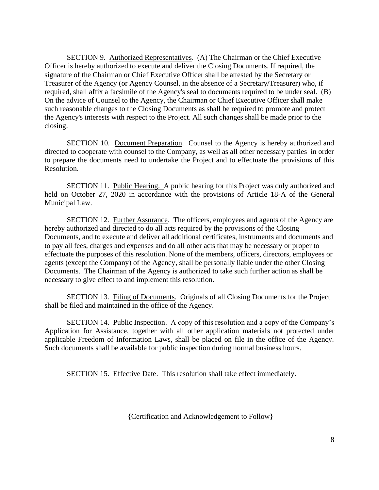SECTION 9. Authorized Representatives. (A) The Chairman or the Chief Executive Officer is hereby authorized to execute and deliver the Closing Documents. If required, the signature of the Chairman or Chief Executive Officer shall be attested by the Secretary or Treasurer of the Agency (or Agency Counsel, in the absence of a Secretary/Treasurer) who, if required, shall affix a facsimile of the Agency's seal to documents required to be under seal. (B) On the advice of Counsel to the Agency, the Chairman or Chief Executive Officer shall make such reasonable changes to the Closing Documents as shall be required to promote and protect the Agency's interests with respect to the Project. All such changes shall be made prior to the closing.

SECTION 10. Document Preparation. Counsel to the Agency is hereby authorized and directed to cooperate with counsel to the Company, as well as all other necessary parties in order to prepare the documents need to undertake the Project and to effectuate the provisions of this Resolution.

SECTION 11. Public Hearing. A public hearing for this Project was duly authorized and held on October 27, 2020 in accordance with the provisions of Article 18-A of the General Municipal Law.

SECTION 12. Further Assurance. The officers, employees and agents of the Agency are hereby authorized and directed to do all acts required by the provisions of the Closing Documents, and to execute and deliver all additional certificates, instruments and documents and to pay all fees, charges and expenses and do all other acts that may be necessary or proper to effectuate the purposes of this resolution. None of the members, officers, directors, employees or agents (except the Company) of the Agency, shall be personally liable under the other Closing Documents. The Chairman of the Agency is authorized to take such further action as shall be necessary to give effect to and implement this resolution.

SECTION 13. Filing of Documents. Originals of all Closing Documents for the Project shall be filed and maintained in the office of the Agency.

SECTION 14. Public Inspection. A copy of this resolution and a copy of the Company's Application for Assistance, together with all other application materials not protected under applicable Freedom of Information Laws, shall be placed on file in the office of the Agency. Such documents shall be available for public inspection during normal business hours.

SECTION 15. Effective Date. This resolution shall take effect immediately.

{Certification and Acknowledgement to Follow}